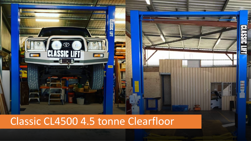

## Classic CL4500 4.5 tonne Clearfloor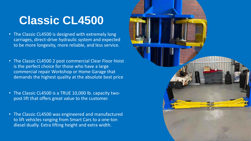## **Classic CL4500**

- The Classic CL4500 is designed with extremely long carriages, direct-drive hydraulic system and expected to be more longevity, more reliable, and less service.
- The Classic CL4500 2 post commercial Clear Floor Hoist is the perfect choice for those who have a large commercial repair Workshop or Home Garage that demands the highest quality at the absolute best price
- The Classic CL4500 is a TRUE 10,000 lb. capacity twopost lift that offers great value to the customer.
- The Classic CL4500 was engineered and manufactured to lift vehicles ranging from Smart Cars to a one-ton diesel dually. Extra lifting height and extra width.

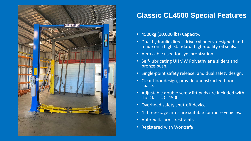

## **Classic CL4500 Special Features**

- 4500kg (10,000 lbs) Capacity.
- Dual hydraulic direct-drive cylinders, designed and made on a high standard, high-quality oil seals.
- Aero cable used for synchronization.
- Self-lubricating UHMW Polyethylene sliders and bronze bush.
- Single-point safety release, and dual safety design.
- Clear floor design, provide unobstructed floor space.
- Adjustable double screw lift pads are included with the Classic CL4500
- Overhead safety shut-off device.
- 4 three-stage arms are suitable for more vehicles.
- Automatic arms restraints.
- Registered with Worksafe